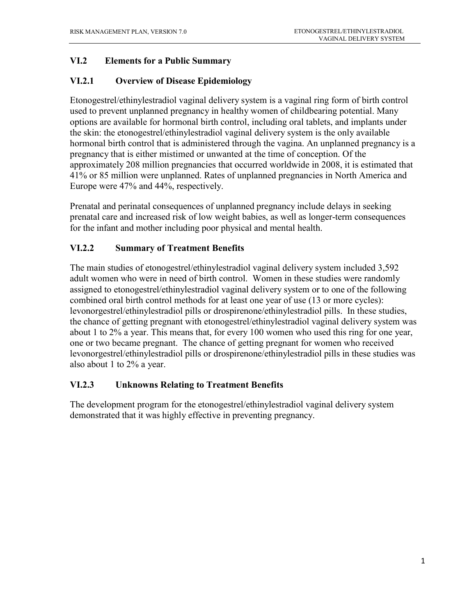### **VI.2 Elements for a Public Summary**

### **VI.2.1 Overview of Disease Epidemiology**

Etonogestrel/ethinylestradiol vaginal delivery system is a vaginal ring form of birth control used to prevent unplanned pregnancy in healthy women of childbearing potential. Many options are available for hormonal birth control, including oral tablets, and implants under the skin: the etonogestrel/ethinylestradiol vaginal delivery system is the only available hormonal birth control that is administered through the vagina. An unplanned pregnancy is a pregnancy that is either mistimed or unwanted at the time of conception. Of the approximately 208 million pregnancies that occurred worldwide in 2008, it is estimated that 41% or 85 million were unplanned. Rates of unplanned pregnancies in North America and Europe were 47% and 44%, respectively.

Prenatal and perinatal consequences of unplanned pregnancy include delays in seeking prenatal care and increased risk of low weight babies, as well as longer-term consequences for the infant and mother including poor physical and mental health.

### **VI.2.2 Summary of Treatment Benefits**

The main studies of etonogestrel/ethinylestradiol vaginal delivery system included 3,592 adult women who were in need of birth control. Women in these studies were randomly assigned to etonogestrel/ethinylestradiol vaginal delivery system or to one of the following combined oral birth control methods for at least one year of use (13 or more cycles): levonorgestrel/ethinylestradiol pills or drospirenone/ethinylestradiol pills. In these studies, the chance of getting pregnant with etonogestrel/ethinylestradiol vaginal delivery system was about 1 to 2% a year. This means that, for every 100 women who used this ring for one year, one or two became pregnant. The chance of getting pregnant for women who received levonorgestrel/ethinylestradiol pills or drospirenone/ethinylestradiol pills in these studies was also about 1 to 2% a year.

#### **VI.2.3 Unknowns Relating to Treatment Benefits**

The development program for the etonogestrel/ethinylestradiol vaginal delivery system demonstrated that it was highly effective in preventing pregnancy.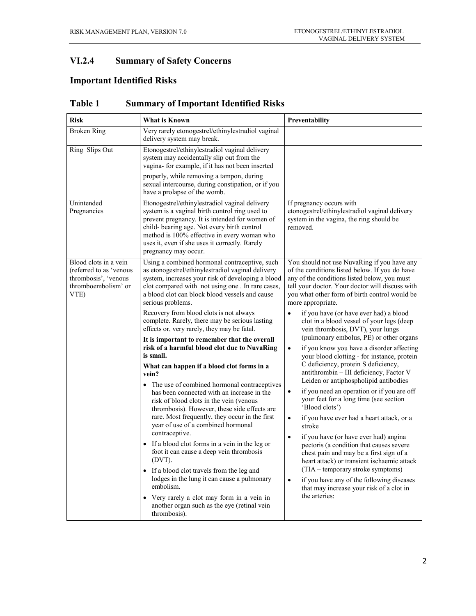### **VI.2.4 Summary of Safety Concerns**

## **Important Identified Risks**

| <b>Risk</b>                                                                                             | <b>What is Known</b>                                                                                                                                                                                                                                                                                                                                                                                                                                                                                                                                                                                                                                                                                                                                                                                                                                                                                                                                                                                                                                                                                                                                                                                                            | Preventability                                                                                                                                                                                                                                                                                                                                                                                                                                                                                                                                                                                                                                                                                                                                                                                                                                                                                                                                                                                                                                                                                                                                                                                                                       |
|---------------------------------------------------------------------------------------------------------|---------------------------------------------------------------------------------------------------------------------------------------------------------------------------------------------------------------------------------------------------------------------------------------------------------------------------------------------------------------------------------------------------------------------------------------------------------------------------------------------------------------------------------------------------------------------------------------------------------------------------------------------------------------------------------------------------------------------------------------------------------------------------------------------------------------------------------------------------------------------------------------------------------------------------------------------------------------------------------------------------------------------------------------------------------------------------------------------------------------------------------------------------------------------------------------------------------------------------------|--------------------------------------------------------------------------------------------------------------------------------------------------------------------------------------------------------------------------------------------------------------------------------------------------------------------------------------------------------------------------------------------------------------------------------------------------------------------------------------------------------------------------------------------------------------------------------------------------------------------------------------------------------------------------------------------------------------------------------------------------------------------------------------------------------------------------------------------------------------------------------------------------------------------------------------------------------------------------------------------------------------------------------------------------------------------------------------------------------------------------------------------------------------------------------------------------------------------------------------|
| <b>Broken Ring</b>                                                                                      | Very rarely etonogestrel/ethinylestradiol vaginal<br>delivery system may break.                                                                                                                                                                                                                                                                                                                                                                                                                                                                                                                                                                                                                                                                                                                                                                                                                                                                                                                                                                                                                                                                                                                                                 |                                                                                                                                                                                                                                                                                                                                                                                                                                                                                                                                                                                                                                                                                                                                                                                                                                                                                                                                                                                                                                                                                                                                                                                                                                      |
| Ring Slips Out                                                                                          | Etonogestrel/ethinylestradiol vaginal delivery<br>system may accidentally slip out from the<br>vagina- for example, if it has not been inserted<br>properly, while removing a tampon, during<br>sexual intercourse, during constipation, or if you<br>have a prolapse of the womb.                                                                                                                                                                                                                                                                                                                                                                                                                                                                                                                                                                                                                                                                                                                                                                                                                                                                                                                                              |                                                                                                                                                                                                                                                                                                                                                                                                                                                                                                                                                                                                                                                                                                                                                                                                                                                                                                                                                                                                                                                                                                                                                                                                                                      |
| Unintended<br>Pregnancies                                                                               | Etonogestrel/ethinylestradiol vaginal delivery<br>system is a vaginal birth control ring used to<br>prevent pregnancy. It is intended for women of<br>child- bearing age. Not every birth control<br>method is 100% effective in every woman who<br>uses it, even if she uses it correctly. Rarely<br>pregnancy may occur.                                                                                                                                                                                                                                                                                                                                                                                                                                                                                                                                                                                                                                                                                                                                                                                                                                                                                                      | If pregnancy occurs with<br>etonogestrel/ethinylestradiol vaginal delivery<br>system in the vagina, the ring should be<br>removed.                                                                                                                                                                                                                                                                                                                                                                                                                                                                                                                                                                                                                                                                                                                                                                                                                                                                                                                                                                                                                                                                                                   |
| Blood clots in a vein<br>(referred to as 'venous<br>thrombosis', 'venous<br>thromboembolism' or<br>VTE) | Using a combined hormonal contraceptive, such<br>as etonogestrel/ethinylestradiol vaginal delivery<br>system, increases your risk of developing a blood<br>clot compared with not using one. In rare cases,<br>a blood clot can block blood vessels and cause<br>serious problems.<br>Recovery from blood clots is not always<br>complete. Rarely, there may be serious lasting<br>effects or, very rarely, they may be fatal.<br>It is important to remember that the overall<br>risk of a harmful blood clot due to NuvaRing<br>is small.<br>What can happen if a blood clot forms in a<br>vein?<br>• The use of combined hormonal contraceptives<br>has been connected with an increase in the<br>risk of blood clots in the vein (venous<br>thrombosis). However, these side effects are<br>rare. Most frequently, they occur in the first<br>year of use of a combined hormonal<br>contraceptive.<br>If a blood clot forms in a vein in the leg or<br>foot it can cause a deep vein thrombosis<br>(DVT)<br>If a blood clot travels from the leg and<br>lodges in the lung it can cause a pulmonary<br>embolism.<br>Very rarely a clot may form in a vein in<br>another organ such as the eye (retinal vein<br>thrombosis). | You should not use NuvaRing if you have any<br>of the conditions listed below. If you do have<br>any of the conditions listed below, you must<br>tell your doctor. Your doctor will discuss with<br>you what other form of birth control would be<br>more appropriate.<br>if you have (or have ever had) a blood<br>clot in a blood vessel of your legs (deep<br>vein thrombosis, DVT), your lungs<br>(pulmonary embolus, PE) or other organs<br>if you know you have a disorder affecting<br>$\bullet$<br>your blood clotting - for instance, protein<br>C deficiency, protein S deficiency,<br>antithrombin - III deficiency, Factor V<br>Leiden or antiphospholipid antibodies<br>if you need an operation or if you are off<br>$\bullet$<br>your feet for a long time (see section<br>'Blood clots')<br>if you have ever had a heart attack, or a<br>$\bullet$<br>stroke<br>if you have (or have ever had) angina<br>$\bullet$<br>pectoris (a condition that causes severe<br>chest pain and may be a first sign of a<br>heart attack) or transient ischaemic attack<br>(TIA – temporary stroke symptoms)<br>if you have any of the following diseases<br>$\bullet$<br>that may increase your risk of a clot in<br>the arteries: |

**Table 1 Summary of Important Identified Risks**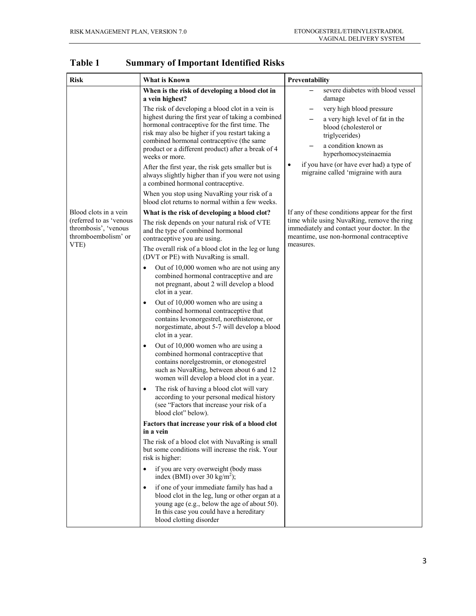| <b>Risk</b>                                                                                             | <b>What is Known</b>                                                                                                                                                                                                                                                                                                                                                                                                                                                                                                                                                                                                                                                                                                                                                                                                                                                                                                                                                                                                                                                                                                                                                                                                                                                                                                                                                                                                                                                                                                                                                          | Preventability                                                                                                                                                                                                                                                                                 |
|---------------------------------------------------------------------------------------------------------|-------------------------------------------------------------------------------------------------------------------------------------------------------------------------------------------------------------------------------------------------------------------------------------------------------------------------------------------------------------------------------------------------------------------------------------------------------------------------------------------------------------------------------------------------------------------------------------------------------------------------------------------------------------------------------------------------------------------------------------------------------------------------------------------------------------------------------------------------------------------------------------------------------------------------------------------------------------------------------------------------------------------------------------------------------------------------------------------------------------------------------------------------------------------------------------------------------------------------------------------------------------------------------------------------------------------------------------------------------------------------------------------------------------------------------------------------------------------------------------------------------------------------------------------------------------------------------|------------------------------------------------------------------------------------------------------------------------------------------------------------------------------------------------------------------------------------------------------------------------------------------------|
|                                                                                                         | When is the risk of developing a blood clot in<br>a vein highest?<br>The risk of developing a blood clot in a vein is<br>highest during the first year of taking a combined<br>hormonal contraceptive for the first time. The<br>risk may also be higher if you restart taking a<br>combined hormonal contraceptive (the same<br>product or a different product) after a break of 4<br>weeks or more.<br>After the first year, the risk gets smaller but is<br>always slightly higher than if you were not using<br>a combined hormonal contraceptive.<br>When you stop using NuvaRing your risk of a<br>blood clot returns to normal within a few weeks.                                                                                                                                                                                                                                                                                                                                                                                                                                                                                                                                                                                                                                                                                                                                                                                                                                                                                                                     | severe diabetes with blood vessel<br>damage<br>very high blood pressure<br>a very high level of fat in the<br>blood (cholesterol or<br>triglycerides)<br>a condition known as<br>hyperhomocysteinaemia<br>if you have (or have ever had) a type of<br>٠<br>migraine called 'migraine with aura |
| Blood clots in a vein<br>(referred to as 'venous<br>thrombosis', 'venous<br>thromboembolism' or<br>VTE) | What is the risk of developing a blood clot?<br>The risk depends on your natural risk of VTE<br>and the type of combined hormonal<br>contraceptive you are using.<br>The overall risk of a blood clot in the leg or lung<br>(DVT or PE) with NuvaRing is small.<br>Out of 10,000 women who are not using any<br>combined hormonal contraceptive and are<br>not pregnant, about 2 will develop a blood<br>clot in a year.<br>Out of 10,000 women who are using a<br>$\bullet$<br>combined hormonal contraceptive that<br>contains levonorgestrel, norethisterone, or<br>norgestimate, about 5-7 will develop a blood<br>clot in a year.<br>Out of 10,000 women who are using a<br>$\bullet$<br>combined hormonal contraceptive that<br>contains norelgestromin, or etonogestrel<br>such as NuvaRing, between about 6 and 12<br>women will develop a blood clot in a year.<br>The risk of having a blood clot will vary<br>٠<br>according to your personal medical history<br>(see "Factors that increase your risk of a<br>blood clot" below).<br>Factors that increase your risk of a blood clot<br>in a vein<br>The risk of a blood clot with NuvaRing is small<br>but some conditions will increase the risk. Your<br>risk is higher:<br>if you are very overweight (body mass<br>$\bullet$<br>index (BMI) over 30 kg/m <sup>2</sup> );<br>if one of your immediate family has had a<br>$\bullet$<br>blood clot in the leg, lung or other organ at a<br>young age (e.g., below the age of about 50).<br>In this case you could have a hereditary<br>blood clotting disorder | If any of these conditions appear for the first<br>time while using NuvaRing, remove the ring<br>immediately and contact your doctor. In the<br>meantime, use non-hormonal contraceptive<br>measures.                                                                                          |

**Table 1 Summary of Important Identified Risks**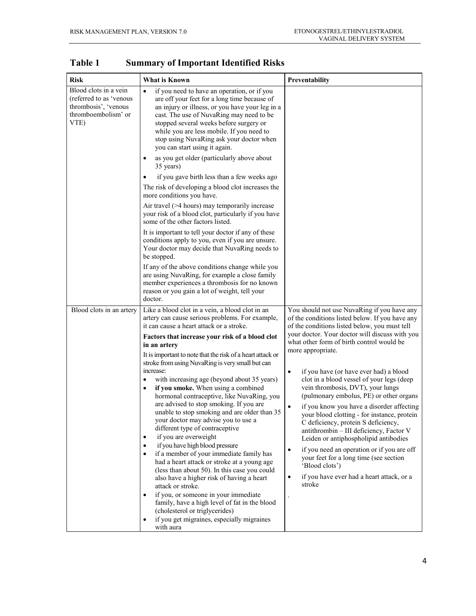| <b>Risk</b>                                                                                             | What is Known                                                                                                                                                                                                                                                                                                                                                                                                                                                                                                                                                                                                                                                                                                                                                                                                                                                                                                                                                                                                                                                                                                                         | Preventability                                                                                                                                                                                                                                                                                                                                                                                                                                                                                                                                                                                                                                                                                                                                                                                                                                                                         |  |
|---------------------------------------------------------------------------------------------------------|---------------------------------------------------------------------------------------------------------------------------------------------------------------------------------------------------------------------------------------------------------------------------------------------------------------------------------------------------------------------------------------------------------------------------------------------------------------------------------------------------------------------------------------------------------------------------------------------------------------------------------------------------------------------------------------------------------------------------------------------------------------------------------------------------------------------------------------------------------------------------------------------------------------------------------------------------------------------------------------------------------------------------------------------------------------------------------------------------------------------------------------|----------------------------------------------------------------------------------------------------------------------------------------------------------------------------------------------------------------------------------------------------------------------------------------------------------------------------------------------------------------------------------------------------------------------------------------------------------------------------------------------------------------------------------------------------------------------------------------------------------------------------------------------------------------------------------------------------------------------------------------------------------------------------------------------------------------------------------------------------------------------------------------|--|
| Blood clots in a vein<br>(referred to as 'venous<br>thrombosis', 'venous<br>thromboembolism' or<br>VTE) | if you need to have an operation, or if you<br>$\bullet$<br>are off your feet for a long time because of<br>an injury or illness, or you have your leg in a<br>cast. The use of NuvaRing may need to be<br>stopped several weeks before surgery or<br>while you are less mobile. If you need to<br>stop using NuvaRing ask your doctor when<br>you can start using it again.                                                                                                                                                                                                                                                                                                                                                                                                                                                                                                                                                                                                                                                                                                                                                          |                                                                                                                                                                                                                                                                                                                                                                                                                                                                                                                                                                                                                                                                                                                                                                                                                                                                                        |  |
|                                                                                                         | as you get older (particularly above about<br>35 years)<br>if you gave birth less than a few weeks ago<br>The risk of developing a blood clot increases the<br>more conditions you have.                                                                                                                                                                                                                                                                                                                                                                                                                                                                                                                                                                                                                                                                                                                                                                                                                                                                                                                                              |                                                                                                                                                                                                                                                                                                                                                                                                                                                                                                                                                                                                                                                                                                                                                                                                                                                                                        |  |
|                                                                                                         | Air travel (>4 hours) may temporarily increase<br>your risk of a blood clot, particularly if you have<br>some of the other factors listed.<br>It is important to tell your doctor if any of these<br>conditions apply to you, even if you are unsure.                                                                                                                                                                                                                                                                                                                                                                                                                                                                                                                                                                                                                                                                                                                                                                                                                                                                                 |                                                                                                                                                                                                                                                                                                                                                                                                                                                                                                                                                                                                                                                                                                                                                                                                                                                                                        |  |
|                                                                                                         | Your doctor may decide that NuvaRing needs to<br>be stopped.<br>If any of the above conditions change while you<br>are using NuvaRing, for example a close family<br>member experiences a thrombosis for no known<br>reason or you gain a lot of weight, tell your<br>doctor.                                                                                                                                                                                                                                                                                                                                                                                                                                                                                                                                                                                                                                                                                                                                                                                                                                                         |                                                                                                                                                                                                                                                                                                                                                                                                                                                                                                                                                                                                                                                                                                                                                                                                                                                                                        |  |
| Blood clots in an artery                                                                                | Like a blood clot in a vein, a blood clot in an<br>artery can cause serious problems. For example,<br>it can cause a heart attack or a stroke.<br>Factors that increase your risk of a blood clot<br>in an artery<br>It is important to note that the risk of a heart attack or<br>stroke from using NuvaRing is very small but can<br>increase:<br>with increasing age (beyond about 35 years)<br>if you smoke. When using a combined<br>hormonal contraceptive, like NuvaRing, you<br>are advised to stop smoking. If you are<br>unable to stop smoking and are older than 35<br>your doctor may advise you to use a<br>different type of contraceptive<br>if you are overweight<br>$\bullet$<br>if you have high blood pressure<br>$\bullet$<br>if a member of your immediate family has<br>had a heart attack or stroke at a young age<br>(less than about 50). In this case you could<br>also have a higher risk of having a heart<br>attack or stroke.<br>if you, or someone in your immediate<br>family, have a high level of fat in the blood<br>(cholesterol or triglycerides)<br>if you get migraines, especially migraines | You should not use NuvaRing if you have any<br>of the conditions listed below. If you have any<br>of the conditions listed below, you must tell<br>your doctor. Your doctor will discuss with you<br>what other form of birth control would be<br>more appropriate.<br>if you have (or have ever had) a blood<br>$\bullet$<br>clot in a blood vessel of your legs (deep<br>vein thrombosis, DVT), your lungs<br>(pulmonary embolus, PE) or other organs<br>if you know you have a disorder affecting<br>$\bullet$<br>your blood clotting - for instance, protein<br>C deficiency, protein S deficiency,<br>antithrombin - III deficiency, Factor V<br>Leiden or antiphospholipid antibodies<br>if you need an operation or if you are off<br>$\bullet$<br>your feet for a long time (see section<br>'Blood clots')<br>if you have ever had a heart attack, or a<br>$\bullet$<br>stroke |  |

**Table 1 Summary of Important Identified Risks**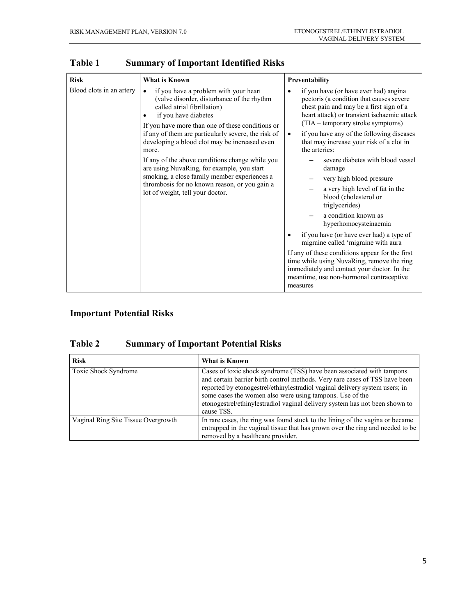| <b>Risk</b>              | What is Known                                                                                                                                                                                                                                                                                                                                                                                                                                                                                                                                                           | Preventability                                                                                                                                                                                                                                                                                                                                                                                                                                                                                                                                                                                                                                                                                                                                                                                                                                            |
|--------------------------|-------------------------------------------------------------------------------------------------------------------------------------------------------------------------------------------------------------------------------------------------------------------------------------------------------------------------------------------------------------------------------------------------------------------------------------------------------------------------------------------------------------------------------------------------------------------------|-----------------------------------------------------------------------------------------------------------------------------------------------------------------------------------------------------------------------------------------------------------------------------------------------------------------------------------------------------------------------------------------------------------------------------------------------------------------------------------------------------------------------------------------------------------------------------------------------------------------------------------------------------------------------------------------------------------------------------------------------------------------------------------------------------------------------------------------------------------|
| Blood clots in an artery | if you have a problem with your heart<br>$\bullet$<br>(valve disorder, disturbance of the rhythm<br>called atrial fibrillation)<br>if you have diabetes<br>٠<br>If you have more than one of these conditions or<br>if any of them are particularly severe, the risk of<br>developing a blood clot may be increased even<br>more.<br>If any of the above conditions change while you<br>are using NuvaRing, for example, you start<br>smoking, a close family member experiences a<br>thrombosis for no known reason, or you gain a<br>lot of weight, tell your doctor. | if you have (or have ever had) angina<br>$\bullet$<br>pectoris (a condition that causes severe<br>chest pain and may be a first sign of a<br>heart attack) or transient ischaemic attack<br>(TIA – temporary stroke symptoms)<br>if you have any of the following diseases<br>$\bullet$<br>that may increase your risk of a clot in<br>the arteries:<br>severe diabetes with blood vessel<br>damage<br>very high blood pressure<br>a very high level of fat in the<br>blood (cholesterol or<br>triglycerides)<br>a condition known as<br>hyperhomocysteinaemia<br>if you have (or have ever had) a type of<br>migraine called 'migraine with aura<br>If any of these conditions appear for the first<br>time while using NuvaRing, remove the ring<br>immediately and contact your doctor. In the<br>meantime, use non-hormonal contraceptive<br>measures |

**Table 1 Summary of Important Identified Risks**

## **Important Potential Risks**

## **Table 2 Summary of Important Potential Risks**

| <b>Risk</b>                         | What is Known                                                                                                                                                                                                                                                                                                                                                                                |
|-------------------------------------|----------------------------------------------------------------------------------------------------------------------------------------------------------------------------------------------------------------------------------------------------------------------------------------------------------------------------------------------------------------------------------------------|
| <b>Toxic Shock Syndrome</b>         | Cases of toxic shock syndrome (TSS) have been associated with tampons<br>and certain barrier birth control methods. Very rare cases of TSS have been<br>reported by etonogestrel/ethinylestradiol vaginal delivery system users; in<br>some cases the women also were using tampons. Use of the<br>etonogestrel/ethinylestradiol vaginal delivery system has not been shown to<br>cause TSS. |
| Vaginal Ring Site Tissue Overgrowth | In rare cases, the ring was found stuck to the lining of the vagina or became<br>entrapped in the vaginal tissue that has grown over the ring and needed to be<br>removed by a healthcare provider.                                                                                                                                                                                          |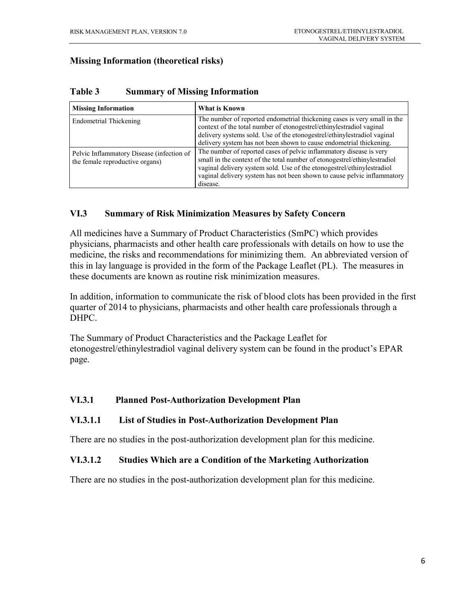#### **Missing Information (theoretical risks)**

| <b>Missing Information</b>                                                   | What is Known                                                                                                                                                                                                                                                                                                     |  |
|------------------------------------------------------------------------------|-------------------------------------------------------------------------------------------------------------------------------------------------------------------------------------------------------------------------------------------------------------------------------------------------------------------|--|
| Endometrial Thickening                                                       | The number of reported endometrial thickening cases is very small in the<br>context of the total number of etonogestrel/ethinylestradiol vaginal<br>delivery systems sold. Use of the etonogestrel/ethinylestradiol vaginal<br>delivery system has not been shown to cause endometrial thickening.                |  |
| Pelvic Inflammatory Disease (infection of<br>the female reproductive organs) | The number of reported cases of pelvic inflammatory disease is very<br>small in the context of the total number of etonogestrel/ethinylestradiol<br>vaginal delivery system sold. Use of the etonogestrel/ethinylestradiol<br>vaginal delivery system has not been shown to cause pelvic inflammatory<br>disease. |  |

#### **Table 3 Summary of Missing Information**

#### **VI.3 Summary of Risk Minimization Measures by Safety Concern**

All medicines have a Summary of Product Characteristics (SmPC) which provides physicians, pharmacists and other health care professionals with details on how to use the medicine, the risks and recommendations for minimizing them. An abbreviated version of this in lay language is provided in the form of the Package Leaflet (PL). The measures in these documents are known as routine risk minimization measures.

In addition, information to communicate the risk of blood clots has been provided in the first quarter of 2014 to physicians, pharmacists and other health care professionals through a DHPC.

The Summary of Product Characteristics and the Package Leaflet for etonogestrel/ethinylestradiol vaginal delivery system can be found in the product's EPAR page.

#### **VI.3.1 Planned Post-Authorization Development Plan**

#### **VI.3.1.1 List of Studies in Post-Authorization Development Plan**

There are no studies in the post-authorization development plan for this medicine.

#### **VI.3.1.2 Studies Which are a Condition of the Marketing Authorization**

There are no studies in the post-authorization development plan for this medicine.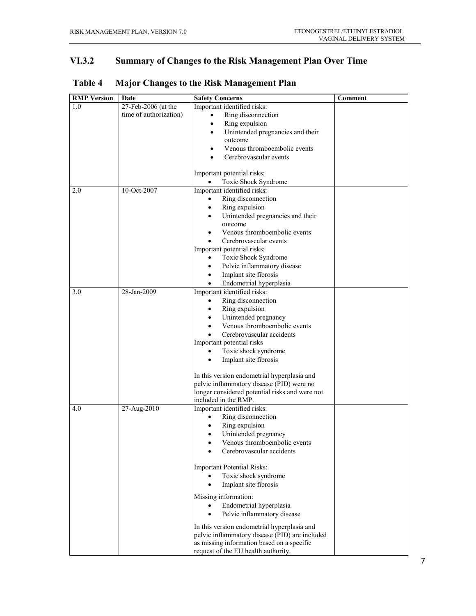## **VI.3.2 Summary of Changes to the Risk Management Plan Over Time**

| <b>RMP</b> Version | Date                   | <b>Safety Concerns</b>                                                 | <b>Comment</b> |
|--------------------|------------------------|------------------------------------------------------------------------|----------------|
| 1.0                | 27-Feb-2006 (at the    | Important identified risks:                                            |                |
|                    | time of authorization) | Ring disconnection                                                     |                |
|                    |                        | Ring expulsion<br>$\bullet$                                            |                |
|                    |                        | Unintended pregnancies and their<br>٠                                  |                |
|                    |                        | outcome                                                                |                |
|                    |                        | Venous thromboembolic events                                           |                |
|                    |                        | Cerebrovascular events                                                 |                |
|                    |                        |                                                                        |                |
|                    |                        | Important potential risks:                                             |                |
|                    |                        | Toxic Shock Syndrome<br>$\bullet$                                      |                |
| 2.0                | 10-Oct-2007            | Important identified risks:                                            |                |
|                    |                        | Ring disconnection                                                     |                |
|                    |                        | Ring expulsion<br>٠                                                    |                |
|                    |                        | Unintended pregnancies and their<br>$\bullet$                          |                |
|                    |                        | outcome                                                                |                |
|                    |                        | Venous thromboembolic events                                           |                |
|                    |                        | Cerebrovascular events                                                 |                |
|                    |                        | Important potential risks:                                             |                |
|                    |                        | Toxic Shock Syndrome                                                   |                |
|                    |                        | Pelvic inflammatory disease<br>$\bullet$                               |                |
|                    |                        | Implant site fibrosis<br>$\bullet$                                     |                |
|                    |                        | Endometrial hyperplasia<br>$\bullet$                                   |                |
| 3.0                | 28-Jan-2009            | Important identified risks:                                            |                |
|                    |                        | Ring disconnection                                                     |                |
|                    |                        | Ring expulsion<br>$\bullet$                                            |                |
|                    |                        | Unintended pregnancy<br>$\bullet$                                      |                |
|                    |                        | Venous thromboembolic events<br>$\bullet$                              |                |
|                    |                        | Cerebrovascular accidents                                              |                |
|                    |                        | Important potential risks                                              |                |
|                    |                        | Toxic shock syndrome                                                   |                |
|                    |                        | Implant site fibrosis<br>$\bullet$                                     |                |
|                    |                        |                                                                        |                |
|                    |                        | In this version endometrial hyperplasia and                            |                |
|                    |                        | pelvic inflammatory disease (PID) were no                              |                |
|                    |                        | longer considered potential risks and were not<br>included in the RMP. |                |
|                    |                        |                                                                        |                |
| 4.0                | 27-Aug-2010            | Important identified risks:                                            |                |
|                    |                        | Ring disconnection                                                     |                |
|                    |                        | Ring expulsion<br>$\bullet$                                            |                |
|                    |                        | Unintended pregnancy<br>$\bullet$<br>Venous thromboembolic events      |                |
|                    |                        |                                                                        |                |
|                    |                        | Cerebrovascular accidents                                              |                |
|                    |                        | <b>Important Potential Risks:</b>                                      |                |
|                    |                        | Toxic shock syndrome                                                   |                |
|                    |                        | Implant site fibrosis<br>$\bullet$                                     |                |
|                    |                        |                                                                        |                |
|                    |                        | Missing information:                                                   |                |
|                    |                        | Endometrial hyperplasia<br>$\bullet$                                   |                |
|                    |                        | Pelvic inflammatory disease<br>$\bullet$                               |                |
|                    |                        | In this version endometrial hyperplasia and                            |                |
|                    |                        | pelvic inflammatory disease (PID) are included                         |                |
|                    |                        | as missing information based on a specific                             |                |
|                    |                        | request of the EU health authority.                                    |                |

# **Table 4 Major Changes to the Risk Management Plan**